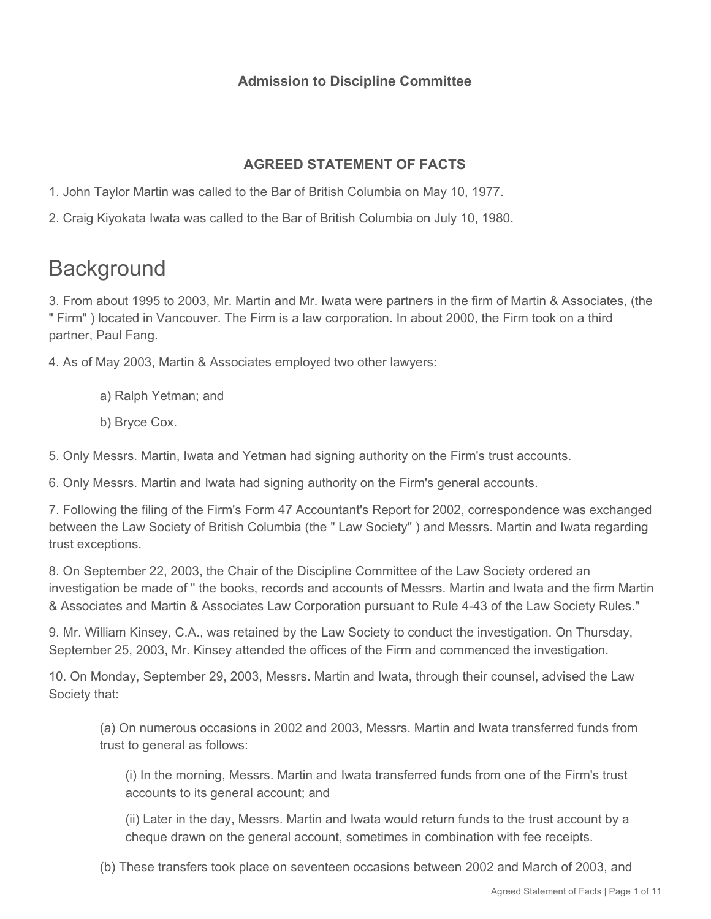## **Admission to Discipline Committee**

## **AGREED STATEMENT OF FACTS**

- 1. John Taylor Martin was called to the Bar of British Columbia on May 10, 1977.
- 2. Craig Kiyokata Iwata was called to the Bar of British Columbia on July 10, 1980.

# **Background**

3. From about 1995 to 2003, Mr. Martin and Mr. Iwata were partners in the firm of Martin & Associates, (the " Firm" ) located in Vancouver. The Firm is a law corporation. In about 2000, the Firm took on a third partner, Paul Fang.

4. As of May 2003, Martin & Associates employed two other lawyers:

- a) Ralph Yetman; and
- b) Bryce Cox.

5. Only Messrs. Martin, Iwata and Yetman had signing authority on the Firm's trust accounts.

6. Only Messrs. Martin and Iwata had signing authority on the Firm's general accounts.

7. Following the filing of the Firm's Form 47 Accountant's Report for 2002, correspondence was exchanged between the Law Society of British Columbia (the " Law Society" ) and Messrs. Martin and Iwata regarding trust exceptions.

8. On September 22, 2003, the Chair of the Discipline Committee of the Law Society ordered an investigation be made of " the books, records and accounts of Messrs. Martin and Iwata and the firm Martin & Associates and Martin & Associates Law Corporation pursuant to Rule 4-43 of the Law Society Rules."

9. Mr. William Kinsey, C.A., was retained by the Law Society to conduct the investigation. On Thursday, September 25, 2003, Mr. Kinsey attended the offices of the Firm and commenced the investigation.

10. On Monday, September 29, 2003, Messrs. Martin and Iwata, through their counsel, advised the Law Society that:

(a) On numerous occasions in 2002 and 2003, Messrs. Martin and Iwata transferred funds from trust to general as follows:

(i) In the morning, Messrs. Martin and Iwata transferred funds from one of the Firm's trust accounts to its general account; and

(ii) Later in the day, Messrs. Martin and Iwata would return funds to the trust account by a cheque drawn on the general account, sometimes in combination with fee receipts.

(b) These transfers took place on seventeen occasions between 2002 and March of 2003, and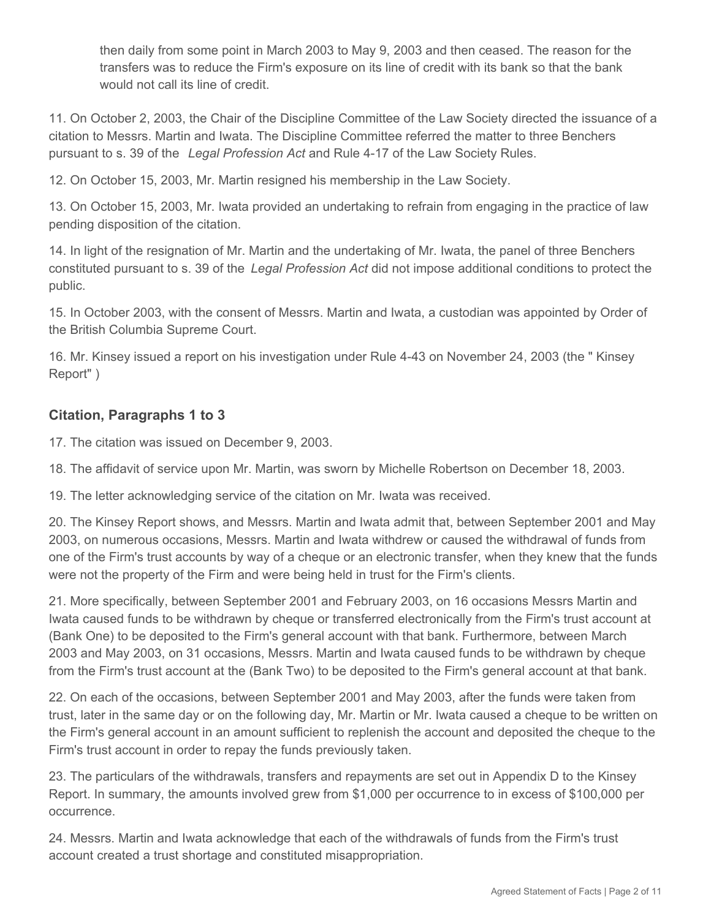then daily from some point in March 2003 to May 9, 2003 and then ceased. The reason for the transfers was to reduce the Firm's exposure on its line of credit with its bank so that the bank would not call its line of credit.

11. On October 2, 2003, the Chair of the Discipline Committee of the Law Society directed the issuance of a citation to Messrs. Martin and Iwata. The Discipline Committee referred the matter to three Benchers pursuant to s. 39 of the *Legal Profession Act* and Rule 4-17 of the Law Society Rules.

12. On October 15, 2003, Mr. Martin resigned his membership in the Law Society.

13. On October 15, 2003, Mr. Iwata provided an undertaking to refrain from engaging in the practice of law pending disposition of the citation.

14. In light of the resignation of Mr. Martin and the undertaking of Mr. Iwata, the panel of three Benchers constituted pursuant to s. 39 of the *Legal Profession Act* did not impose additional conditions to protect the public.

15. In October 2003, with the consent of Messrs. Martin and Iwata, a custodian was appointed by Order of the British Columbia Supreme Court.

16. Mr. Kinsey issued a report on his investigation under Rule 4-43 on November 24, 2003 (the " Kinsey Report" )

#### **Citation, Paragraphs 1 to 3**

17. The citation was issued on December 9, 2003.

18. The affidavit of service upon Mr. Martin, was sworn by Michelle Robertson on December 18, 2003.

19. The letter acknowledging service of the citation on Mr. Iwata was received.

20. The Kinsey Report shows, and Messrs. Martin and Iwata admit that, between September 2001 and May 2003, on numerous occasions, Messrs. Martin and Iwata withdrew or caused the withdrawal of funds from one of the Firm's trust accounts by way of a cheque or an electronic transfer, when they knew that the funds were not the property of the Firm and were being held in trust for the Firm's clients.

21. More specifically, between September 2001 and February 2003, on 16 occasions Messrs Martin and Iwata caused funds to be withdrawn by cheque or transferred electronically from the Firm's trust account at (Bank One) to be deposited to the Firm's general account with that bank. Furthermore, between March 2003 and May 2003, on 31 occasions, Messrs. Martin and Iwata caused funds to be withdrawn by cheque from the Firm's trust account at the (Bank Two) to be deposited to the Firm's general account at that bank.

22. On each of the occasions, between September 2001 and May 2003, after the funds were taken from trust, later in the same day or on the following day, Mr. Martin or Mr. Iwata caused a cheque to be written on the Firm's general account in an amount sufficient to replenish the account and deposited the cheque to the Firm's trust account in order to repay the funds previously taken.

23. The particulars of the withdrawals, transfers and repayments are set out in Appendix D to the Kinsey Report. In summary, the amounts involved grew from \$1,000 per occurrence to in excess of \$100,000 per occurrence.

24. Messrs. Martin and Iwata acknowledge that each of the withdrawals of funds from the Firm's trust account created a trust shortage and constituted misappropriation.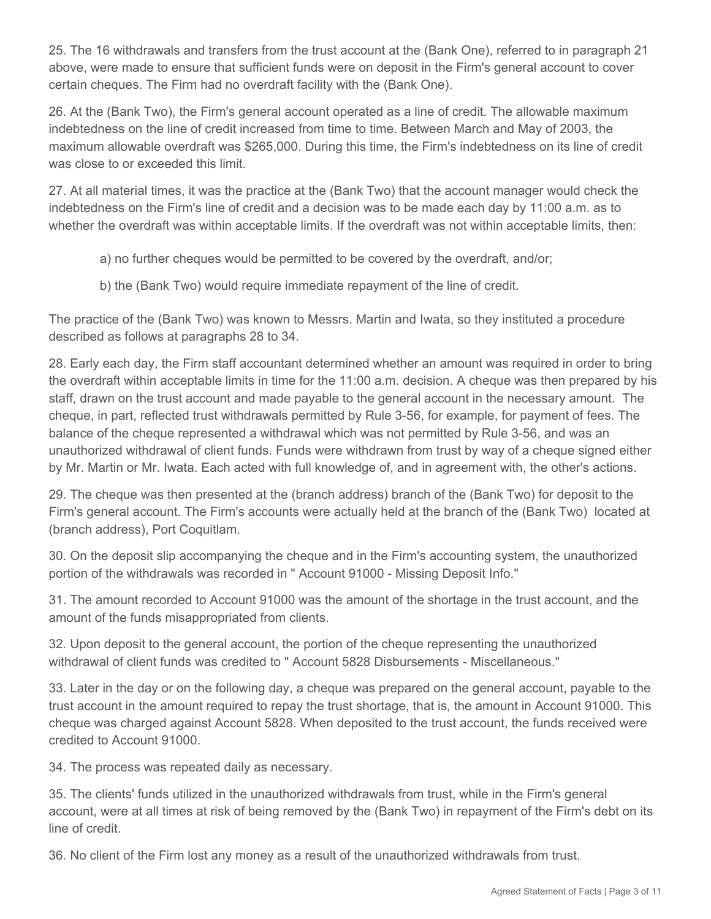25. The 16 withdrawals and transfers from the trust account at the (Bank One), referred to in paragraph 21 above, were made to ensure that sufficient funds were on deposit in the Firm's general account to cover certain cheques. The Firm had no overdraft facility with the (Bank One).

26. At the (Bank Two), the Firm's general account operated as a line of credit. The allowable maximum indebtedness on the line of credit increased from time to time. Between March and May of 2003, the maximum allowable overdraft was \$265,000. During this time, the Firm's indebtedness on its line of credit was close to or exceeded this limit.

27. At all material times, it was the practice at the (Bank Two) that the account manager would check the indebtedness on the Firm's line of credit and a decision was to be made each day by 11:00 a.m. as to whether the overdraft was within acceptable limits. If the overdraft was not within acceptable limits, then:

- a) no further cheques would be permitted to be covered by the overdraft, and/or;
- b) the (Bank Two) would require immediate repayment of the line of credit.

The practice of the (Bank Two) was known to Messrs. Martin and Iwata, so they instituted a procedure described as follows at paragraphs 28 to 34.

28. Early each day, the Firm staff accountant determined whether an amount was required in order to bring the overdraft within acceptable limits in time for the 11:00 a.m. decision. A cheque was then prepared by his staff, drawn on the trust account and made payable to the general account in the necessary amount. The cheque, in part, reflected trust withdrawals permitted by Rule 3-56, for example, for payment of fees. The balance of the cheque represented a withdrawal which was not permitted by Rule 3-56, and was an unauthorized withdrawal of client funds. Funds were withdrawn from trust by way of a cheque signed either by Mr. Martin or Mr. Iwata. Each acted with full knowledge of, and in agreement with, the other's actions.

29. The cheque was then presented at the (branch address) branch of the (Bank Two) for deposit to the Firm's general account. The Firm's accounts were actually held at the branch of the (Bank Two) located at (branch address), Port Coquitlam.

30. On the deposit slip accompanying the cheque and in the Firm's accounting system, the unauthorized portion of the withdrawals was recorded in " Account 91000 - Missing Deposit Info."

31. The amount recorded to Account 91000 was the amount of the shortage in the trust account, and the amount of the funds misappropriated from clients.

32. Upon deposit to the general account, the portion of the cheque representing the unauthorized withdrawal of client funds was credited to " Account 5828 Disbursements - Miscellaneous."

33. Later in the day or on the following day, a cheque was prepared on the general account, payable to the trust account in the amount required to repay the trust shortage, that is, the amount in Account 91000. This cheque was charged against Account 5828. When deposited to the trust account, the funds received were credited to Account 91000.

34. The process was repeated daily as necessary.

35. The clients' funds utilized in the unauthorized withdrawals from trust, while in the Firm's general account, were at all times at risk of being removed by the (Bank Two) in repayment of the Firm's debt on its line of credit.

36. No client of the Firm lost any money as a result of the unauthorized withdrawals from trust.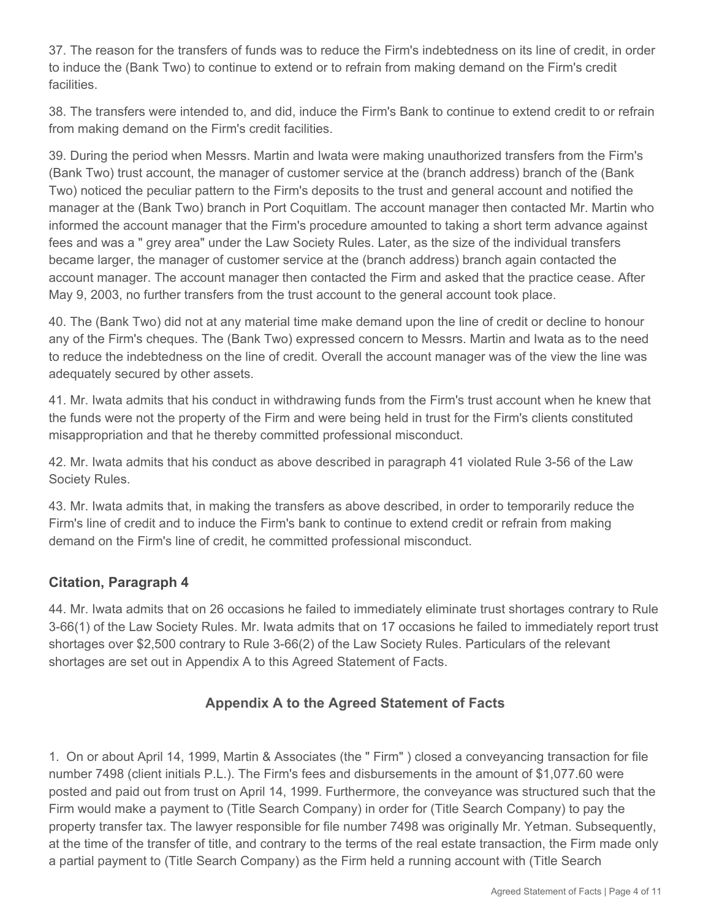37. The reason for the transfers of funds was to reduce the Firm's indebtedness on its line of credit, in order to induce the (Bank Two) to continue to extend or to refrain from making demand on the Firm's credit facilities.

38. The transfers were intended to, and did, induce the Firm's Bank to continue to extend credit to or refrain from making demand on the Firm's credit facilities.

39. During the period when Messrs. Martin and Iwata were making unauthorized transfers from the Firm's (Bank Two) trust account, the manager of customer service at the (branch address) branch of the (Bank Two) noticed the peculiar pattern to the Firm's deposits to the trust and general account and notified the manager at the (Bank Two) branch in Port Coquitlam. The account manager then contacted Mr. Martin who informed the account manager that the Firm's procedure amounted to taking a short term advance against fees and was a " grey area" under the Law Society Rules. Later, as the size of the individual transfers became larger, the manager of customer service at the (branch address) branch again contacted the account manager. The account manager then contacted the Firm and asked that the practice cease. After May 9, 2003, no further transfers from the trust account to the general account took place.

40. The (Bank Two) did not at any material time make demand upon the line of credit or decline to honour any of the Firm's cheques. The (Bank Two) expressed concern to Messrs. Martin and Iwata as to the need to reduce the indebtedness on the line of credit. Overall the account manager was of the view the line was adequately secured by other assets.

41. Mr. Iwata admits that his conduct in withdrawing funds from the Firm's trust account when he knew that the funds were not the property of the Firm and were being held in trust for the Firm's clients constituted misappropriation and that he thereby committed professional misconduct.

42. Mr. Iwata admits that his conduct as above described in paragraph 41 violated Rule 3-56 of the Law Society Rules.

43. Mr. Iwata admits that, in making the transfers as above described, in order to temporarily reduce the Firm's line of credit and to induce the Firm's bank to continue to extend credit or refrain from making demand on the Firm's line of credit, he committed professional misconduct.

#### **Citation, Paragraph 4**

44. Mr. Iwata admits that on 26 occasions he failed to immediately eliminate trust shortages contrary to Rule 3-66(1) of the Law Society Rules. Mr. Iwata admits that on 17 occasions he failed to immediately report trust shortages over \$2,500 contrary to Rule 3-66(2) of the Law Society Rules. Particulars of the relevant shortages are set out in Appendix A to this Agreed Statement of Facts.

## **Appendix A to the Agreed Statement of Facts**

1. On or about April 14, 1999, Martin & Associates (the " Firm" ) closed a conveyancing transaction for file number 7498 (client initials P.L.). The Firm's fees and disbursements in the amount of \$1,077.60 were posted and paid out from trust on April 14, 1999. Furthermore, the conveyance was structured such that the Firm would make a payment to (Title Search Company) in order for (Title Search Company) to pay the property transfer tax. The lawyer responsible for file number 7498 was originally Mr. Yetman. Subsequently, at the time of the transfer of title, and contrary to the terms of the real estate transaction, the Firm made only a partial payment to (Title Search Company) as the Firm held a running account with (Title Search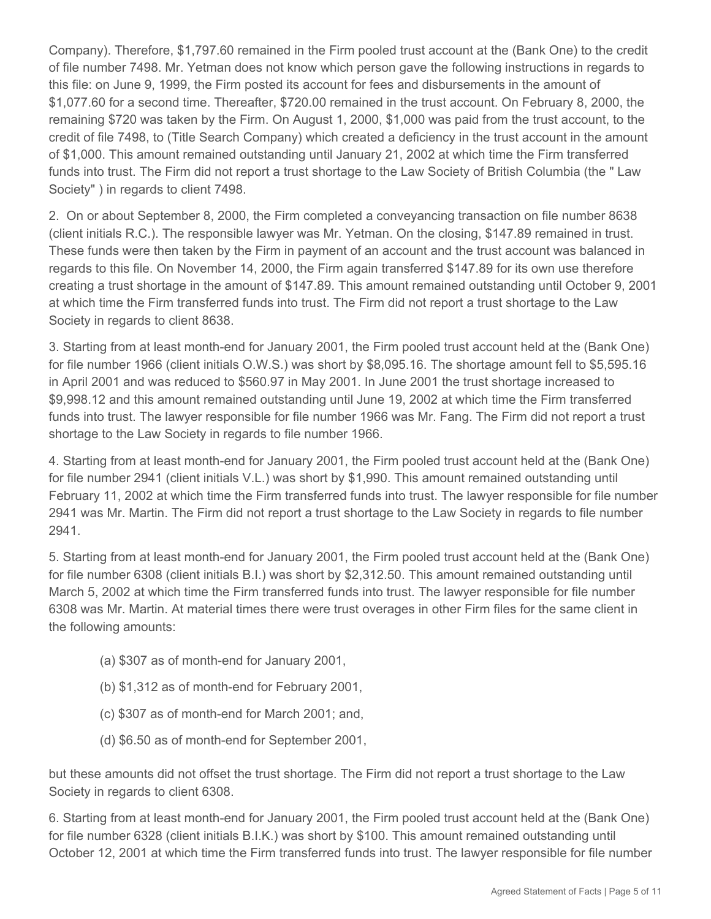Company). Therefore, \$1,797.60 remained in the Firm pooled trust account at the (Bank One) to the credit of file number 7498. Mr. Yetman does not know which person gave the following instructions in regards to this file: on June 9, 1999, the Firm posted its account for fees and disbursements in the amount of \$1,077.60 for a second time. Thereafter, \$720.00 remained in the trust account. On February 8, 2000, the remaining \$720 was taken by the Firm. On August 1, 2000, \$1,000 was paid from the trust account, to the credit of file 7498, to (Title Search Company) which created a deficiency in the trust account in the amount of \$1,000. This amount remained outstanding until January 21, 2002 at which time the Firm transferred funds into trust. The Firm did not report a trust shortage to the Law Society of British Columbia (the " Law Society" ) in regards to client 7498.

2. On or about September 8, 2000, the Firm completed a conveyancing transaction on file number 8638 (client initials R.C.). The responsible lawyer was Mr. Yetman. On the closing, \$147.89 remained in trust. These funds were then taken by the Firm in payment of an account and the trust account was balanced in regards to this file. On November 14, 2000, the Firm again transferred \$147.89 for its own use therefore creating a trust shortage in the amount of \$147.89. This amount remained outstanding until October 9, 2001 at which time the Firm transferred funds into trust. The Firm did not report a trust shortage to the Law Society in regards to client 8638.

3. Starting from at least month-end for January 2001, the Firm pooled trust account held at the (Bank One) for file number 1966 (client initials O.W.S.) was short by \$8,095.16. The shortage amount fell to \$5,595.16 in April 2001 and was reduced to \$560.97 in May 2001. In June 2001 the trust shortage increased to \$9,998.12 and this amount remained outstanding until June 19, 2002 at which time the Firm transferred funds into trust. The lawyer responsible for file number 1966 was Mr. Fang. The Firm did not report a trust shortage to the Law Society in regards to file number 1966.

4. Starting from at least month-end for January 2001, the Firm pooled trust account held at the (Bank One) for file number 2941 (client initials V.L.) was short by \$1,990. This amount remained outstanding until February 11, 2002 at which time the Firm transferred funds into trust. The lawyer responsible for file number 2941 was Mr. Martin. The Firm did not report a trust shortage to the Law Society in regards to file number 2941.

5. Starting from at least month-end for January 2001, the Firm pooled trust account held at the (Bank One) for file number 6308 (client initials B.I.) was short by \$2,312.50. This amount remained outstanding until March 5, 2002 at which time the Firm transferred funds into trust. The lawyer responsible for file number 6308 was Mr. Martin. At material times there were trust overages in other Firm files for the same client in the following amounts:

- (a) \$307 as of month-end for January 2001,
- (b) \$1,312 as of month-end for February 2001,
- (c) \$307 as of month-end for March 2001; and,
- (d) \$6.50 as of month-end for September 2001,

but these amounts did not offset the trust shortage. The Firm did not report a trust shortage to the Law Society in regards to client 6308.

6. Starting from at least month-end for January 2001, the Firm pooled trust account held at the (Bank One) for file number 6328 (client initials B.I.K.) was short by \$100. This amount remained outstanding until October 12, 2001 at which time the Firm transferred funds into trust. The lawyer responsible for file number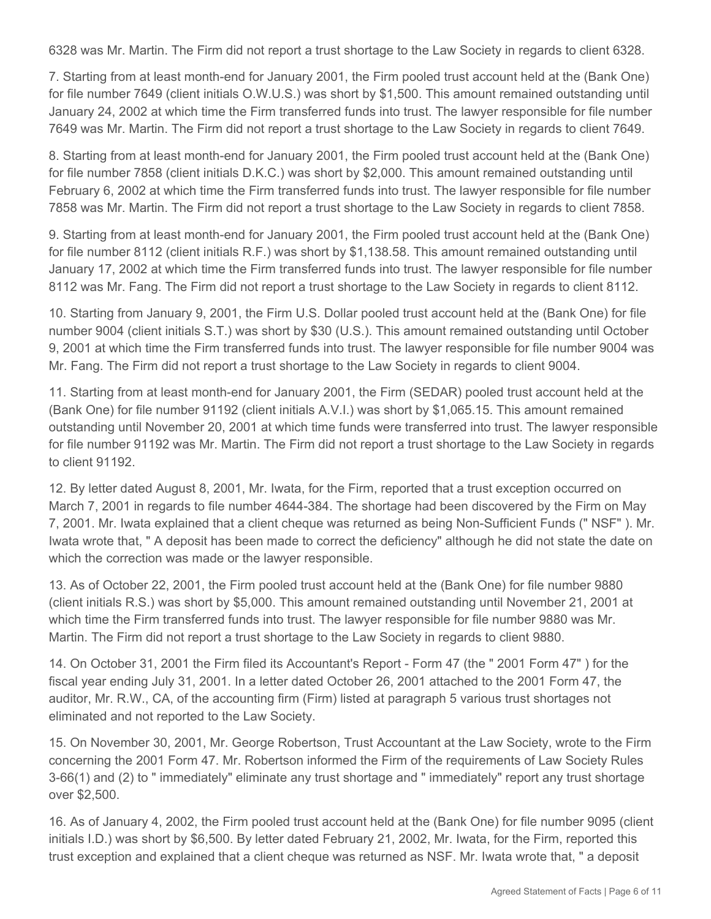6328 was Mr. Martin. The Firm did not report a trust shortage to the Law Society in regards to client 6328.

7. Starting from at least month-end for January 2001, the Firm pooled trust account held at the (Bank One) for file number 7649 (client initials O.W.U.S.) was short by \$1,500. This amount remained outstanding until January 24, 2002 at which time the Firm transferred funds into trust. The lawyer responsible for file number 7649 was Mr. Martin. The Firm did not report a trust shortage to the Law Society in regards to client 7649.

8. Starting from at least month-end for January 2001, the Firm pooled trust account held at the (Bank One) for file number 7858 (client initials D.K.C.) was short by \$2,000. This amount remained outstanding until February 6, 2002 at which time the Firm transferred funds into trust. The lawyer responsible for file number 7858 was Mr. Martin. The Firm did not report a trust shortage to the Law Society in regards to client 7858.

9. Starting from at least month-end for January 2001, the Firm pooled trust account held at the (Bank One) for file number 8112 (client initials R.F.) was short by \$1,138.58. This amount remained outstanding until January 17, 2002 at which time the Firm transferred funds into trust. The lawyer responsible for file number 8112 was Mr. Fang. The Firm did not report a trust shortage to the Law Society in regards to client 8112.

10. Starting from January 9, 2001, the Firm U.S. Dollar pooled trust account held at the (Bank One) for file number 9004 (client initials S.T.) was short by \$30 (U.S.). This amount remained outstanding until October 9, 2001 at which time the Firm transferred funds into trust. The lawyer responsible for file number 9004 was Mr. Fang. The Firm did not report a trust shortage to the Law Society in regards to client 9004.

11. Starting from at least month-end for January 2001, the Firm (SEDAR) pooled trust account held at the (Bank One) for file number 91192 (client initials A.V.I.) was short by \$1,065.15. This amount remained outstanding until November 20, 2001 at which time funds were transferred into trust. The lawyer responsible for file number 91192 was Mr. Martin. The Firm did not report a trust shortage to the Law Society in regards to client 91192.

12. By letter dated August 8, 2001, Mr. Iwata, for the Firm, reported that a trust exception occurred on March 7, 2001 in regards to file number 4644-384. The shortage had been discovered by the Firm on May 7, 2001. Mr. Iwata explained that a client cheque was returned as being Non-Sufficient Funds (" NSF" ). Mr. Iwata wrote that, " A deposit has been made to correct the deficiency" although he did not state the date on which the correction was made or the lawyer responsible.

13. As of October 22, 2001, the Firm pooled trust account held at the (Bank One) for file number 9880 (client initials R.S.) was short by \$5,000. This amount remained outstanding until November 21, 2001 at which time the Firm transferred funds into trust. The lawyer responsible for file number 9880 was Mr. Martin. The Firm did not report a trust shortage to the Law Society in regards to client 9880.

14. On October 31, 2001 the Firm filed its Accountant's Report - Form 47 (the " 2001 Form 47" ) for the fiscal year ending July 31, 2001. In a letter dated October 26, 2001 attached to the 2001 Form 47, the auditor, Mr. R.W., CA, of the accounting firm (Firm) listed at paragraph 5 various trust shortages not eliminated and not reported to the Law Society.

15. On November 30, 2001, Mr. George Robertson, Trust Accountant at the Law Society, wrote to the Firm concerning the 2001 Form 47. Mr. Robertson informed the Firm of the requirements of Law Society Rules 3-66(1) and (2) to " immediately" eliminate any trust shortage and " immediately" report any trust shortage over \$2,500.

16. As of January 4, 2002, the Firm pooled trust account held at the (Bank One) for file number 9095 (client initials I.D.) was short by \$6,500. By letter dated February 21, 2002, Mr. Iwata, for the Firm, reported this trust exception and explained that a client cheque was returned as NSF. Mr. Iwata wrote that, " a deposit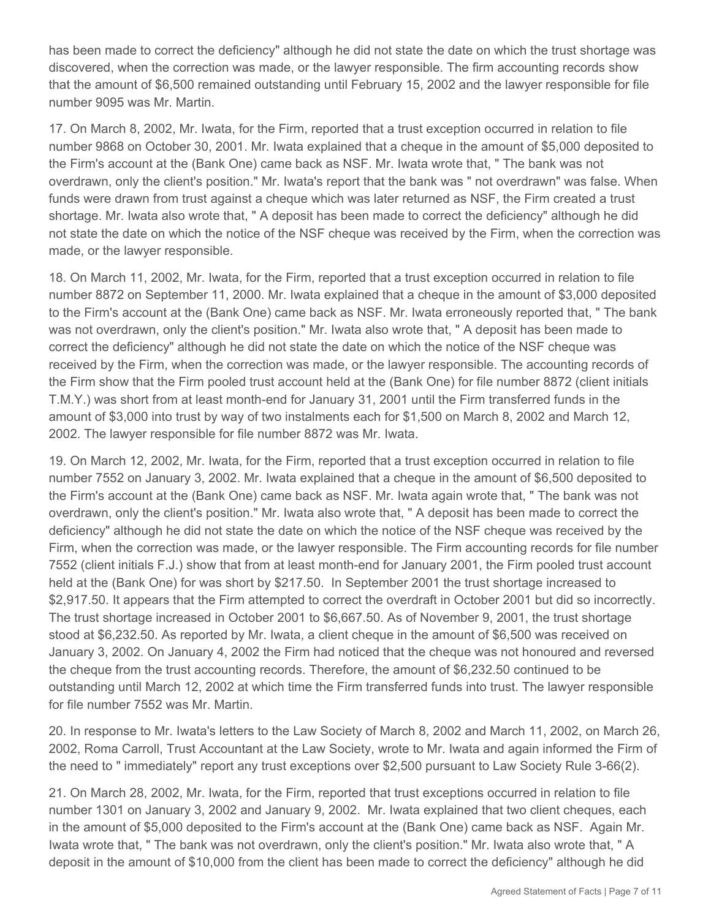has been made to correct the deficiency" although he did not state the date on which the trust shortage was discovered, when the correction was made, or the lawyer responsible. The firm accounting records show that the amount of \$6,500 remained outstanding until February 15, 2002 and the lawyer responsible for file number 9095 was Mr. Martin. 

17. On March 8, 2002, Mr. Iwata, for the Firm, reported that a trust exception occurred in relation to file number 9868 on October 30, 2001. Mr. Iwata explained that a cheque in the amount of \$5,000 deposited to the Firm's account at the (Bank One) came back as NSF. Mr. Iwata wrote that, " The bank was not overdrawn, only the client's position." Mr. Iwata's report that the bank was " not overdrawn" was false. When funds were drawn from trust against a cheque which was later returned as NSF, the Firm created a trust shortage. Mr. Iwata also wrote that, " A deposit has been made to correct the deficiency" although he did not state the date on which the notice of the NSF cheque was received by the Firm, when the correction was made, or the lawyer responsible.

18. On March 11, 2002, Mr. Iwata, for the Firm, reported that a trust exception occurred in relation to file number 8872 on September 11, 2000. Mr. Iwata explained that a cheque in the amount of \$3,000 deposited to the Firm's account at the (Bank One) came back as NSF. Mr. Iwata erroneously reported that, " The bank was not overdrawn, only the client's position." Mr. Iwata also wrote that, " A deposit has been made to correct the deficiency" although he did not state the date on which the notice of the NSF cheque was received by the Firm, when the correction was made, or the lawyer responsible. The accounting records of the Firm show that the Firm pooled trust account held at the (Bank One) for file number 8872 (client initials T.M.Y.) was short from at least month-end for January 31, 2001 until the Firm transferred funds in the amount of \$3,000 into trust by way of two instalments each for \$1,500 on March 8, 2002 and March 12, 2002. The lawyer responsible for file number 8872 was Mr. Iwata.

19. On March 12, 2002, Mr. Iwata, for the Firm, reported that a trust exception occurred in relation to file number 7552 on January 3, 2002. Mr. Iwata explained that a cheque in the amount of \$6,500 deposited to the Firm's account at the (Bank One) came back as NSF. Mr. Iwata again wrote that, " The bank was not overdrawn, only the client's position." Mr. Iwata also wrote that, " A deposit has been made to correct the deficiency" although he did not state the date on which the notice of the NSF cheque was received by the Firm, when the correction was made, or the lawyer responsible. The Firm accounting records for file number 7552 (client initials F.J.) show that from at least month-end for January 2001, the Firm pooled trust account held at the (Bank One) for was short by \$217.50. In September 2001 the trust shortage increased to \$2,917.50. It appears that the Firm attempted to correct the overdraft in October 2001 but did so incorrectly. The trust shortage increased in October 2001 to \$6,667.50. As of November 9, 2001, the trust shortage stood at \$6,232.50. As reported by Mr. Iwata, a client cheque in the amount of \$6,500 was received on January 3, 2002. On January 4, 2002 the Firm had noticed that the cheque was not honoured and reversed the cheque from the trust accounting records. Therefore, the amount of \$6,232.50 continued to be outstanding until March 12, 2002 at which time the Firm transferred funds into trust. The lawyer responsible for file number 7552 was Mr. Martin.

20. In response to Mr. Iwata's letters to the Law Society of March 8, 2002 and March 11, 2002, on March 26, 2002, Roma Carroll, Trust Accountant at the Law Society, wrote to Mr. Iwata and again informed the Firm of the need to " immediately" report any trust exceptions over \$2,500 pursuant to Law Society Rule 3-66(2).

21. On March 28, 2002, Mr. Iwata, for the Firm, reported that trust exceptions occurred in relation to file number 1301 on January 3, 2002 and January 9, 2002. Mr. Iwata explained that two client cheques, each in the amount of \$5,000 deposited to the Firm's account at the (Bank One) came back as NSF. Again Mr. Iwata wrote that, " The bank was not overdrawn, only the client's position." Mr. Iwata also wrote that, " A deposit in the amount of \$10,000 from the client has been made to correct the deficiency" although he did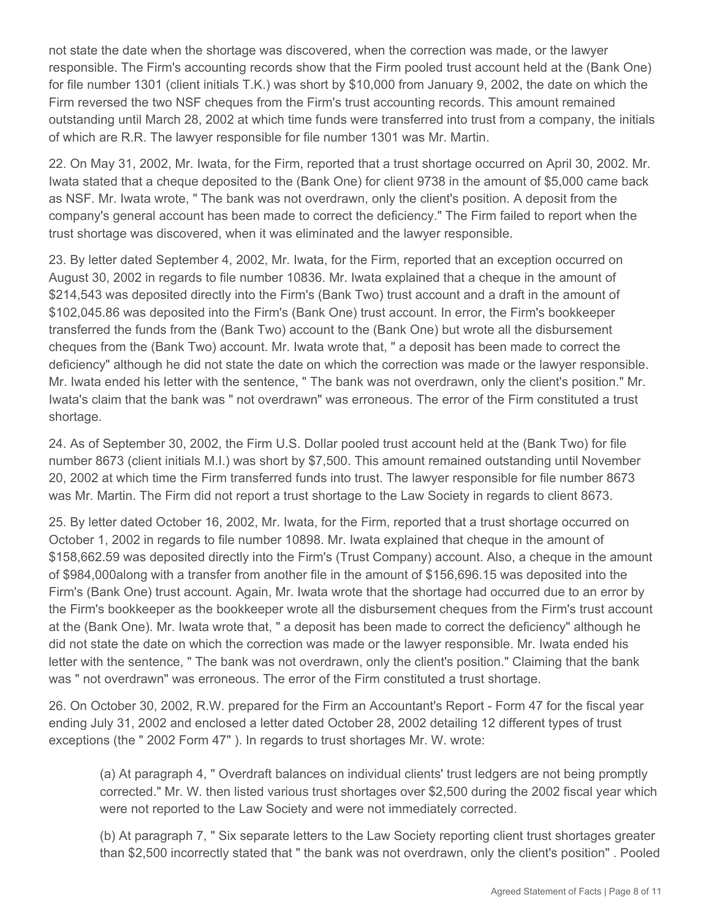not state the date when the shortage was discovered, when the correction was made, or the lawyer responsible. The Firm's accounting records show that the Firm pooled trust account held at the (Bank One) for file number 1301 (client initials T.K.) was short by \$10,000 from January 9, 2002, the date on which the Firm reversed the two NSF cheques from the Firm's trust accounting records. This amount remained outstanding until March 28, 2002 at which time funds were transferred into trust from a company, the initials of which are R.R. The lawyer responsible for file number 1301 was Mr. Martin. 

22. On May 31, 2002, Mr. Iwata, for the Firm, reported that a trust shortage occurred on April 30, 2002. Mr. Iwata stated that a cheque deposited to the (Bank One) for client 9738 in the amount of \$5,000 came back as NSF. Mr. Iwata wrote, " The bank was not overdrawn, only the client's position. A deposit from the company's general account has been made to correct the deficiency." The Firm failed to report when the trust shortage was discovered, when it was eliminated and the lawyer responsible.

23. By letter dated September 4, 2002, Mr. Iwata, for the Firm, reported that an exception occurred on August 30, 2002 in regards to file number 10836. Mr. Iwata explained that a cheque in the amount of \$214,543 was deposited directly into the Firm's (Bank Two) trust account and a draft in the amount of \$102,045.86 was deposited into the Firm's (Bank One) trust account. In error, the Firm's bookkeeper transferred the funds from the (Bank Two) account to the (Bank One) but wrote all the disbursement cheques from the (Bank Two) account. Mr. Iwata wrote that, " a deposit has been made to correct the deficiency" although he did not state the date on which the correction was made or the lawyer responsible. Mr. Iwata ended his letter with the sentence, " The bank was not overdrawn, only the client's position." Mr. Iwata's claim that the bank was " not overdrawn" was erroneous. The error of the Firm constituted a trust shortage.

24. As of September 30, 2002, the Firm U.S. Dollar pooled trust account held at the (Bank Two) for file number 8673 (client initials M.I.) was short by \$7,500. This amount remained outstanding until November 20, 2002 at which time the Firm transferred funds into trust. The lawyer responsible for file number 8673 was Mr. Martin. The Firm did not report a trust shortage to the Law Society in regards to client 8673.

25. By letter dated October 16, 2002, Mr. Iwata, for the Firm, reported that a trust shortage occurred on October 1, 2002 in regards to file number 10898. Mr. Iwata explained that cheque in the amount of \$158,662.59 was deposited directly into the Firm's (Trust Company) account. Also, a cheque in the amount of \$984,000along with a transfer from another file in the amount of \$156,696.15 was deposited into the Firm's (Bank One) trust account. Again, Mr. Iwata wrote that the shortage had occurred due to an error by the Firm's bookkeeper as the bookkeeper wrote all the disbursement cheques from the Firm's trust account at the (Bank One). Mr. Iwata wrote that, " a deposit has been made to correct the deficiency" although he did not state the date on which the correction was made or the lawyer responsible. Mr. Iwata ended his letter with the sentence, " The bank was not overdrawn, only the client's position." Claiming that the bank was " not overdrawn" was erroneous. The error of the Firm constituted a trust shortage.

26. On October 30, 2002, R.W. prepared for the Firm an Accountant's Report - Form 47 for the fiscal year ending July 31, 2002 and enclosed a letter dated October 28, 2002 detailing 12 different types of trust exceptions (the " 2002 Form 47" ). In regards to trust shortages Mr. W. wrote:

(a) At paragraph 4, " Overdraft balances on individual clients' trust ledgers are not being promptly corrected." Mr. W. then listed various trust shortages over \$2,500 during the 2002 fiscal year which were not reported to the Law Society and were not immediately corrected.

(b) At paragraph 7, " Six separate letters to the Law Society reporting client trust shortages greater than \$2,500 incorrectly stated that " the bank was not overdrawn, only the client's position" . Pooled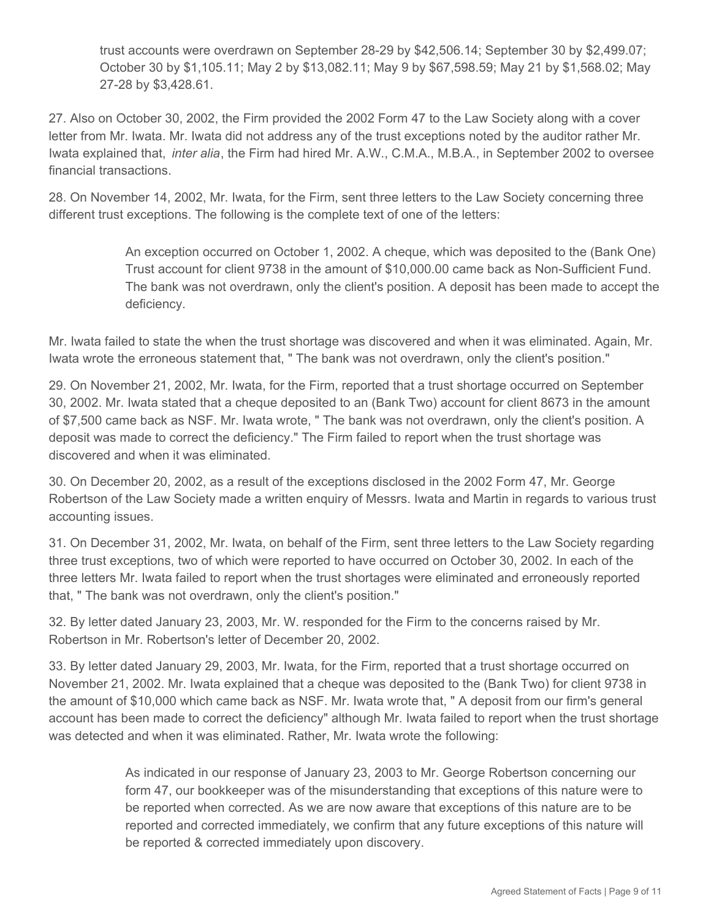trust accounts were overdrawn on September 28-29 by \$42,506.14; September 30 by \$2,499.07; October 30 by \$1,105.11; May 2 by \$13,082.11; May 9 by \$67,598.59; May 21 by \$1,568.02; May 27-28 by \$3,428.61.

27. Also on October 30, 2002, the Firm provided the 2002 Form 47 to the Law Society along with a cover letter from Mr. Iwata. Mr. Iwata did not address any of the trust exceptions noted by the auditor rather Mr. Iwata explained that, *inter alia*, the Firm had hired Mr. A.W., C.M.A., M.B.A., in September 2002 to oversee financial transactions.

28. On November 14, 2002, Mr. Iwata, for the Firm, sent three letters to the Law Society concerning three different trust exceptions. The following is the complete text of one of the letters:

> An exception occurred on October 1, 2002. A cheque, which was deposited to the (Bank One) Trust account for client 9738 in the amount of \$10,000.00 came back as Non-Sufficient Fund. The bank was not overdrawn, only the client's position. A deposit has been made to accept the deficiency.

Mr. Iwata failed to state the when the trust shortage was discovered and when it was eliminated. Again, Mr. Iwata wrote the erroneous statement that, " The bank was not overdrawn, only the client's position."

29. On November 21, 2002, Mr. Iwata, for the Firm, reported that a trust shortage occurred on September 30, 2002. Mr. Iwata stated that a cheque deposited to an (Bank Two) account for client 8673 in the amount of \$7,500 came back as NSF. Mr. Iwata wrote, " The bank was not overdrawn, only the client's position. A deposit was made to correct the deficiency." The Firm failed to report when the trust shortage was discovered and when it was eliminated. 

30. On December 20, 2002, as a result of the exceptions disclosed in the 2002 Form 47, Mr. George Robertson of the Law Society made a written enquiry of Messrs. Iwata and Martin in regards to various trust accounting issues.

31. On December 31, 2002, Mr. Iwata, on behalf of the Firm, sent three letters to the Law Society regarding three trust exceptions, two of which were reported to have occurred on October 30, 2002. In each of the three letters Mr. Iwata failed to report when the trust shortages were eliminated and erroneously reported that, " The bank was not overdrawn, only the client's position."

32. By letter dated January 23, 2003, Mr. W. responded for the Firm to the concerns raised by Mr. Robertson in Mr. Robertson's letter of December 20, 2002.

33. By letter dated January 29, 2003, Mr. Iwata, for the Firm, reported that a trust shortage occurred on November 21, 2002. Mr. Iwata explained that a cheque was deposited to the (Bank Two) for client 9738 in the amount of \$10,000 which came back as NSF. Mr. Iwata wrote that, " A deposit from our firm's general account has been made to correct the deficiency" although Mr. Iwata failed to report when the trust shortage was detected and when it was eliminated. Rather, Mr. Iwata wrote the following:

> As indicated in our response of January 23, 2003 to Mr. George Robertson concerning our form 47, our bookkeeper was of the misunderstanding that exceptions of this nature were to be reported when corrected. As we are now aware that exceptions of this nature are to be reported and corrected immediately, we confirm that any future exceptions of this nature will be reported & corrected immediately upon discovery.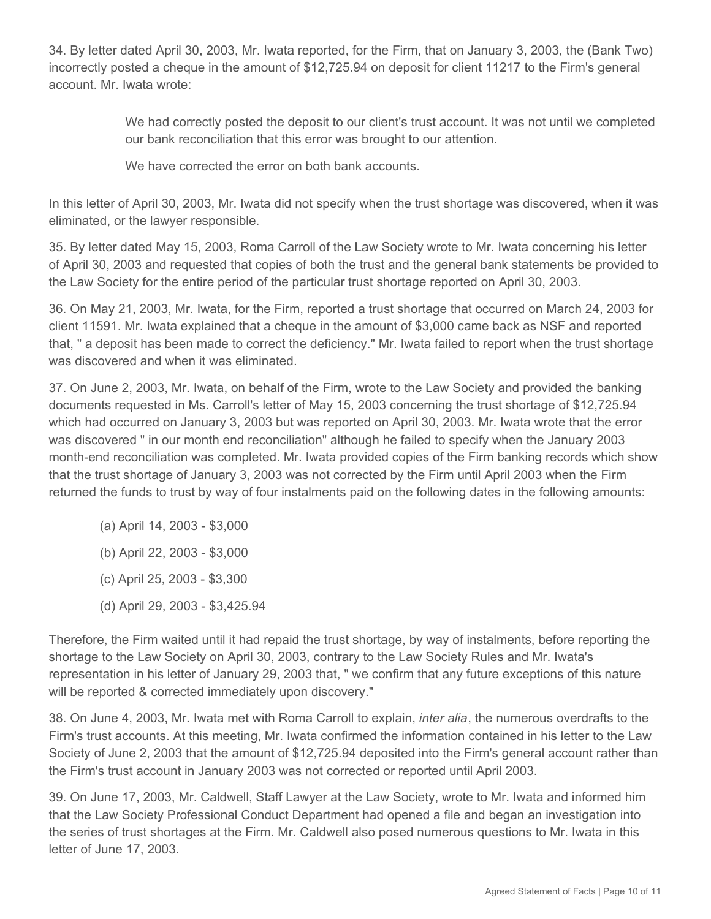34. By letter dated April 30, 2003, Mr. Iwata reported, for the Firm, that on January 3, 2003, the (Bank Two) incorrectly posted a cheque in the amount of \$12,725.94 on deposit for client 11217 to the Firm's general account. Mr. Iwata wrote:

> We had correctly posted the deposit to our client's trust account. It was not until we completed our bank reconciliation that this error was brought to our attention.

We have corrected the error on both bank accounts.

In this letter of April 30, 2003, Mr. Iwata did not specify when the trust shortage was discovered, when it was eliminated, or the lawyer responsible.

35. By letter dated May 15, 2003, Roma Carroll of the Law Society wrote to Mr. Iwata concerning his letter of April 30, 2003 and requested that copies of both the trust and the general bank statements be provided to the Law Society for the entire period of the particular trust shortage reported on April 30, 2003.

36. On May 21, 2003, Mr. Iwata, for the Firm, reported a trust shortage that occurred on March 24, 2003 for client 11591. Mr. Iwata explained that a cheque in the amount of \$3,000 came back as NSF and reported that, " a deposit has been made to correct the deficiency." Mr. Iwata failed to report when the trust shortage was discovered and when it was eliminated.

37. On June 2, 2003, Mr. Iwata, on behalf of the Firm, wrote to the Law Society and provided the banking documents requested in Ms. Carroll's letter of May 15, 2003 concerning the trust shortage of \$12,725.94 which had occurred on January 3, 2003 but was reported on April 30, 2003. Mr. Iwata wrote that the error was discovered " in our month end reconciliation" although he failed to specify when the January 2003 month-end reconciliation was completed. Mr. Iwata provided copies of the Firm banking records which show that the trust shortage of January 3, 2003 was not corrected by the Firm until April 2003 when the Firm returned the funds to trust by way of four instalments paid on the following dates in the following amounts:

- (a) April 14, 2003 \$3,000
- (b) April 22, 2003 \$3,000
- (c) April 25, 2003 \$3,300
- (d) April 29, 2003 \$3,425.94

Therefore, the Firm waited until it had repaid the trust shortage, by way of instalments, before reporting the shortage to the Law Society on April 30, 2003, contrary to the Law Society Rules and Mr. Iwata's representation in his letter of January 29, 2003 that, " we confirm that any future exceptions of this nature will be reported & corrected immediately upon discovery."

38. On June 4, 2003, Mr. Iwata met with Roma Carroll to explain, *inter alia*, the numerous overdrafts to the Firm's trust accounts. At this meeting, Mr. Iwata confirmed the information contained in his letter to the Law Society of June 2, 2003 that the amount of \$12,725.94 deposited into the Firm's general account rather than the Firm's trust account in January 2003 was not corrected or reported until April 2003.

39. On June 17, 2003, Mr. Caldwell, Staff Lawyer at the Law Society, wrote to Mr. Iwata and informed him that the Law Society Professional Conduct Department had opened a file and began an investigation into the series of trust shortages at the Firm. Mr. Caldwell also posed numerous questions to Mr. Iwata in this letter of June 17, 2003.